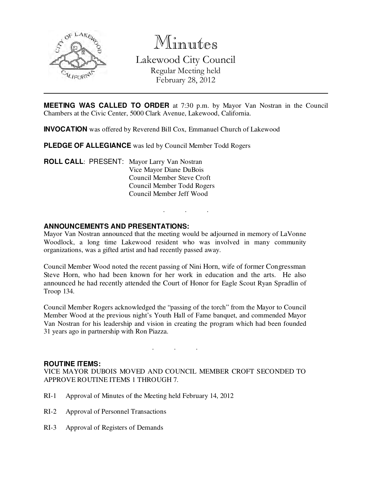

Minutes

Lakewood City Council Regular Meeting held February 28, 2012

**MEETING WAS CALLED TO ORDER** at 7:30 p.m. by Mayor Van Nostran in the Council Chambers at the Civic Center, 5000 Clark Avenue, Lakewood, California.

**INVOCATION** was offered by Reverend Bill Cox, Emmanuel Church of Lakewood

**PLEDGE OF ALLEGIANCE** was led by Council Member Todd Rogers

**ROLL CALL**: PRESENT: Mayor Larry Van Nostran Vice Mayor Diane DuBois Council Member Steve Croft Council Member Todd Rogers Council Member Jeff Wood

### **ANNOUNCEMENTS AND PRESENTATIONS:**

Mayor Van Nostran announced that the meeting would be adjourned in memory of LaVonne Woodlock, a long time Lakewood resident who was involved in many community organizations, was a gifted artist and had recently passed away.

. . .

Council Member Wood noted the recent passing of Nini Horn, wife of former Congressman Steve Horn, who had been known for her work in education and the arts. He also announced he had recently attended the Court of Honor for Eagle Scout Ryan Spradlin of Troop 134.

Council Member Rogers acknowledged the "passing of the torch" from the Mayor to Council Member Wood at the previous night's Youth Hall of Fame banquet, and commended Mayor Van Nostran for his leadership and vision in creating the program which had been founded 31 years ago in partnership with Ron Piazza.

#### **ROUTINE ITEMS:**

VICE MAYOR DUBOIS MOVED AND COUNCIL MEMBER CROFT SECONDED TO APPROVE ROUTINE ITEMS 1 THROUGH 7.

. . .

- RI-1 Approval of Minutes of the Meeting held February 14, 2012
- RI-2 Approval of Personnel Transactions
- RI-3 Approval of Registers of Demands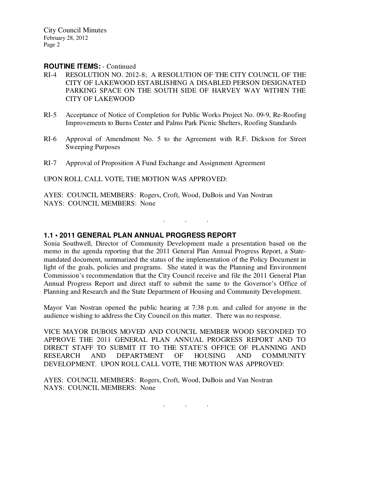City Council Minutes February 28, 2012 Page 2

#### **ROUTINE ITEMS:** - Continued

- RI-4 RESOLUTION NO. 2012-8; A RESOLUTION OF THE CITY COUNCIL OF THE CITY OF LAKEWOOD ESTABLISHING A DISABLED PERSON DESIGNATED PARKING SPACE ON THE SOUTH SIDE OF HARVEY WAY WITHIN THE CITY OF LAKEWOOD
- RI-5 Acceptance of Notice of Completion for Public Works Project No. 09-9, Re-Roofing Improvements to Burns Center and Palms Park Picnic Shelters, Roofing Standards
- RI-6 Approval of Amendment No. 5 to the Agreement with R.F. Dickson for Street Sweeping Purposes
- RI-7 Approval of Proposition A Fund Exchange and Assignment Agreement

UPON ROLL CALL VOTE, THE MOTION WAS APPROVED:

AYES: COUNCIL MEMBERS: Rogers, Croft, Wood, DuBois and Van Nostran NAYS: COUNCIL MEMBERS: None

### **1.1 • 2011 GENERAL PLAN ANNUAL PROGRESS REPORT**

Sonia Southwell, Director of Community Development made a presentation based on the memo in the agenda reporting that the 2011 General Plan Annual Progress Report, a Statemandated document, summarized the status of the implementation of the Policy Document in light of the goals, policies and programs. She stated it was the Planning and Environment Commission's recommendation that the City Council receive and file the 2011 General Plan Annual Progress Report and direct staff to submit the same to the Governor's Office of Planning and Research and the State Department of Housing and Community Development.

. . .

Mayor Van Nostran opened the public hearing at 7:38 p.m. and called for anyone in the audience wishing to address the City Council on this matter. There was no response.

VICE MAYOR DUBOIS MOVED AND COUNCIL MEMBER WOOD SECONDED TO APPROVE THE 2011 GENERAL PLAN ANNUAL PROGRESS REPORT AND TO DIRECT STAFF TO SUBMIT IT TO THE STATE'S OFFICE OF PLANNING AND RESEARCH AND DEPARTMENT OF HOUSING AND COMMUNITY DEVELOPMENT. UPON ROLL CALL VOTE, THE MOTION WAS APPROVED:

AYES: COUNCIL MEMBERS: Rogers, Croft, Wood, DuBois and Van Nostran NAYS: COUNCIL MEMBERS: None

. . .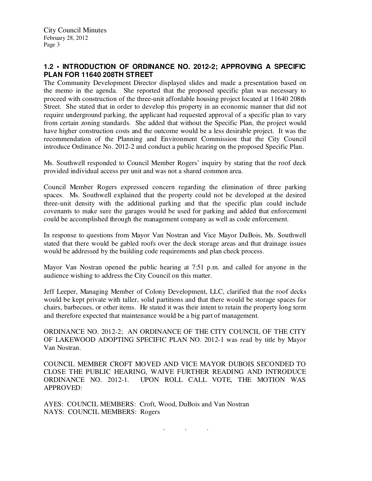## **1.2 • INTRODUCTION OF ORDINANCE NO. 2012-2; APPROVING A SPECIFIC PLAN FOR 11640 208TH STREET**

The Community Development Director displayed slides and made a presentation based on the memo in the agenda. She reported that the proposed specific plan was necessary to proceed with construction of the three-unit affordable housing project located at 11640 208th Street. She stated that in order to develop this property in an economic manner that did not require underground parking, the applicant had requested approval of a specific plan to vary from certain zoning standards. She added that without the Specific Plan, the project would have higher construction costs and the outcome would be a less desirable project. It was the recommendation of the Planning and Environment Commission that the City Council introduce Ordinance No. 2012-2 and conduct a public hearing on the proposed Specific Plan.

Ms. Southwell responded to Council Member Rogers' inquiry by stating that the roof deck provided individual access per unit and was not a shared common area.

Council Member Rogers expressed concern regarding the elimination of three parking spaces. Ms. Southwell explained that the property could not be developed at the desired three-unit density with the additional parking and that the specific plan could include covenants to make sure the garages would be used for parking and added that enforcement could be accomplished through the management company as well as code enforcement.

In response to questions from Mayor Van Nostran and Vice Mayor DuBois, Ms. Southwell stated that there would be gabled roofs over the deck storage areas and that drainage issues would be addressed by the building code requirements and plan check process.

Mayor Van Nostran opened the public hearing at 7:51 p.m. and called for anyone in the audience wishing to address the City Council on this matter.

Jeff Leeper, Managing Member of Colony Development, LLC, clarified that the roof decks would be kept private with taller, solid partitions and that there would be storage spaces for chairs, barbecues, or other items. He stated it was their intent to retain the property long term and therefore expected that maintenance would be a big part of management.

ORDINANCE NO. 2012-2; AN ORDINANCE OF THE CITY COUNCIL OF THE CITY OF LAKEWOOD ADOPTING SPECIFIC PLAN NO. 2012-1 was read by title by Mayor Van Nostran.

COUNCIL MEMBER CROFT MOVED AND VICE MAYOR DUBOIS SECONDED TO CLOSE THE PUBLIC HEARING, WAIVE FURTHER READING AND INTRODUCE ORDINANCE NO. 2012-1. UPON ROLL CALL VOTE, THE MOTION WAS APPROVED:

. . .

AYES: COUNCIL MEMBERS: Croft, Wood, DuBois and Van Nostran NAYS: COUNCIL MEMBERS: Rogers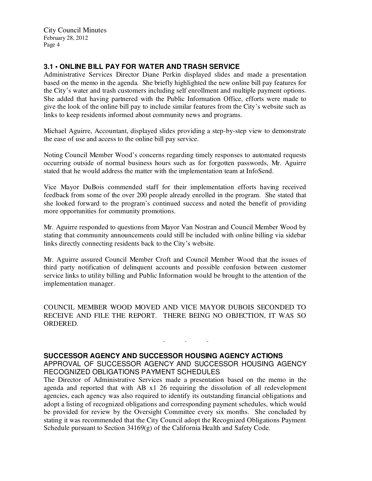City Council Minutes February 28, 2012 Page 4

# **3.1 • ONLINE BILL PAY FOR WATER AND TRASH SERVICE**

Administrative Services Director Diane Perkin displayed slides and made a presentation based on the memo in the agenda. She briefly highlighted the new online bill pay features for the City's water and trash customers including self enrollment and multiple payment options. She added that having partnered with the Public Information Office, efforts were made to give the look of the online bill pay to include similar features from the City's website such as links to keep residents informed about community news and programs.

Michael Aguirre, Accountant, displayed slides providing a step-by-step view to demonstrate the ease of use and access to the online bill pay service.

Noting Council Member Wood's concerns regarding timely responses to automated requests occurring outside of normal business hours such as for forgotten passwords, Mr. Aguirre stated that he would address the matter with the implementation team at InfoSend.

Vice Mayor DuBois commended staff for their implementation efforts having received feedback from some of the over 200 people already enrolled in the program. She stated that she looked forward to the program's continued success and noted the benefit of providing more opportunities for community promotions.

Mr. Aguirre responded to questions from Mayor Van Nostran and Council Member Wood by stating that community announcements could still be included with online billing via sidebar links directly connecting residents back to the City's website.

Mr. Aguirre assured Council Member Croft and Council Member Wood that the issues of third party notification of delinquent accounts and possible confusion between customer service links to utility billing and Public Information would be brought to the attention of the implementation manager.

COUNCIL MEMBER WOOD MOVED AND VICE MAYOR DUBOIS SECONDED TO RECEIVE AND FILE THE REPORT. THERE BEING NO OBJECTION, IT WAS SO ORDERED.

. . .

#### **SUCCESSOR AGENCY AND SUCCESSOR HOUSING AGENCY ACTIONS**

APPROVAL OF SUCCESSOR AGENCY AND SUCCESSOR HOUSING AGENCY RECOGNIZED OBLIGATIONS PAYMENT SCHEDULES

The Director of Administrative Services made a presentation based on the memo in the agenda and reported that with AB x1 26 requiring the dissolution of all redevelopment agencies, each agency was also required to identify its outstanding financial obligations and adopt a listing of recognized obligations and corresponding payment schedules, which would be provided for review by the Oversight Committee every six months. She concluded by stating it was recommended that the City Council adopt the Recognized Obligations Payment Schedule pursuant to Section 34169(g) of the California Health and Safety Code.